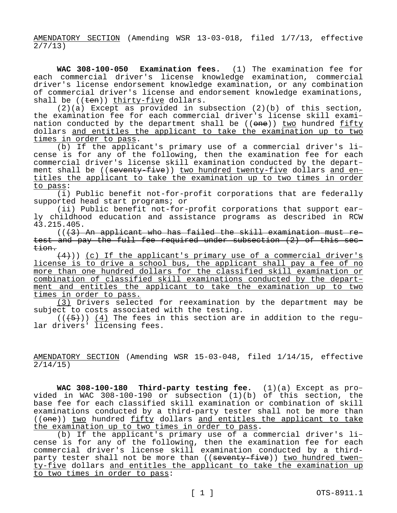AMENDATORY SECTION (Amending WSR 13-03-018, filed 1/7/13, effective  $2/7/13$ 

**WAC 308-100-050 Examination fees.** (1) The examination fee for each commercial driver's license knowledge examination, commercial driver's license endorsement knowledge examination, or any combination of commercial driver's license and endorsement knowledge examinations, shall be  $((\text{ten}))$  thirty-five dollars.

(2)(a) Except as provided in subsection (2)(b) of this section, the examination fee for each commercial driver's license skill examination conducted by the department shall be  $((one))$  two hundred fifty dollars and entitles the applicant to take the examination up to two times in order to pass.

(b) If the applicant's primary use of a commercial driver's license is for any of the following, then the examination fee for each commercial driver's license skill examination conducted by the department shall be ((seventy-five)) two hundred twenty-five dollars and entitles the applicant to take the examination up to two times in order to pass:

(i) Public benefit not-for-profit corporations that are federally supported head start programs; or

(ii) Public benefit not-for-profit corporations that support early childhood education and assistance programs as described in RCW 43.215.405.

 $((43)$  An applicant who has failed the skill examination must retest and pay the full fee required under subsection (2) of this section.

 $(4)$ )) (c) If the applicant's primary use of a commercial driver's license is to drive a school bus, the applicant shall pay a fee of no more than one hundred dollars for the classified skill examination or combination of classified skill examinations conducted by the department and entitles the applicant to take the examination up to two times in order to pass.

(3) Drivers selected for reexamination by the department may be subject to costs associated with the testing.

 $((+5))$   $(4)$  The fees in this section are in addition to the regular drivers' licensing fees.

AMENDATORY SECTION (Amending WSR 15-03-048, filed 1/14/15, effective 2/14/15)

**WAC 308-100-180 Third-party testing fee.** (1)(a) Except as provided in WAC 308-100-190 or subsection (1)(b) of this section, the base fee for each classified skill examination or combination of skill examinations conducted by a third-party tester shall not be more than  $((one))$  two hundred fifty dollars and entitles the applicant to take the examination up to two times in order to pass.

(b) If the applicant's primary use of a commercial driver's license is for any of the following, then the examination fee for each commercial driver's license skill examination conducted by a thirdparty tester shall not be more than ((seventy-five)) two hundred twenty-five dollars and entitles the applicant to take the examination up to two times in order to pass: